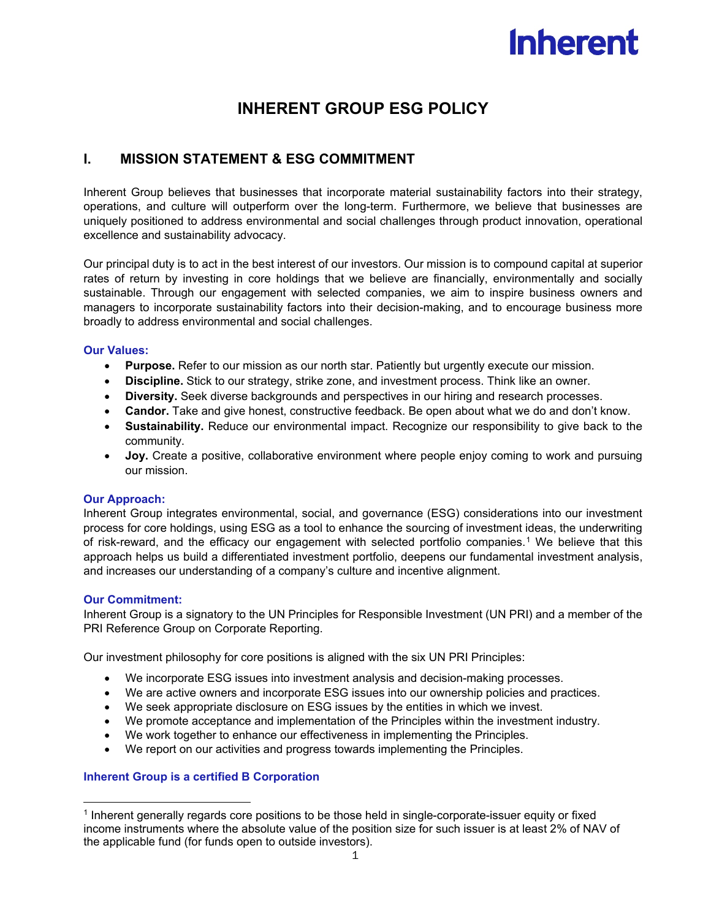# **Inherent**

# **INHERENT GROUP ESG POLICY**

# **I. MISSION STATEMENT & ESG COMMITMENT**

Inherent Group believes that businesses that incorporate material sustainability factors into their strategy, operations, and culture will outperform over the long-term. Furthermore, we believe that businesses are uniquely positioned to address environmental and social challenges through product innovation, operational excellence and sustainability advocacy.

Our principal duty is to act in the best interest of our investors. Our mission is to compound capital at superior rates of return by investing in core holdings that we believe are financially, environmentally and socially sustainable. Through our engagement with selected companies, we aim to inspire business owners and managers to incorporate sustainability factors into their decision-making, and to encourage business more broadly to address environmental and social challenges.

#### **Our Values:**

- **Purpose.** Refer to our mission as our north star. Patiently but urgently execute our mission.
- **Discipline.** Stick to our strategy, strike zone, and investment process. Think like an owner.
- **Diversity.** Seek diverse backgrounds and perspectives in our hiring and research processes.
- **Candor.** Take and give honest, constructive feedback. Be open about what we do and don't know.
- **Sustainability.** Reduce our environmental impact. Recognize our responsibility to give back to the community.
- **Joy.** Create a positive, collaborative environment where people enjoy coming to work and pursuing our mission.

#### **Our Approach:**

Inherent Group integrates environmental, social, and governance (ESG) considerations into our investment process for core holdings, using ESG as a tool to enhance the sourcing of investment ideas, the underwriting of risk-reward, and the efficacy our engagement with selected portfolio companies.[1](#page-0-0) We believe that this approach helps us build a differentiated investment portfolio, deepens our fundamental investment analysis, and increases our understanding of a company's culture and incentive alignment.

#### **Our Commitment:**

 $\overline{a}$ 

Inherent Group is a signatory to the UN Principles for Responsible Investment (UN PRI) and a member of the PRI Reference Group on Corporate Reporting.

Our investment philosophy for core positions is aligned with the six UN PRI Principles:

- We incorporate ESG issues into investment analysis and decision-making processes.
- We are active owners and incorporate ESG issues into our ownership policies and practices.
- We seek appropriate disclosure on ESG issues by the entities in which we invest.
- We promote acceptance and implementation of the Principles within the investment industry.
- We work together to enhance our effectiveness in implementing the Principles.
- We report on our activities and progress towards implementing the Principles.

#### **Inherent Group is a certified B Corporation**

<span id="page-0-0"></span><sup>1</sup> Inherent generally regards core positions to be those held in single-corporate-issuer equity or fixed income instruments where the absolute value of the position size for such issuer is at least 2% of NAV of the applicable fund (for funds open to outside investors).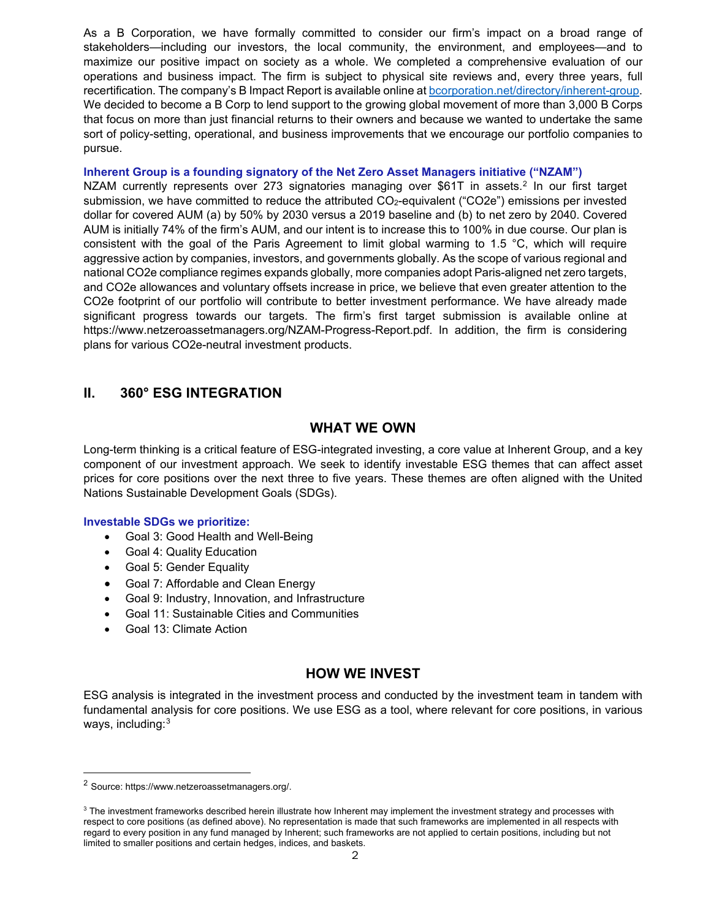As a B Corporation, we have formally committed to consider our firm's impact on a broad range of stakeholders—including our investors, the local community, the environment, and employees—and to maximize our positive impact on society as a whole. We completed a comprehensive evaluation of our operations and business impact. The firm is subject to physical site reviews and, every three years, full recertification. The company's B Impact Report is available online a[t bcorporation.net/directory/inherent-group.](https://bcorporation.net/directory/inherent-group) We decided to become a B Corp to lend support to the growing global movement of more than 3,000 B Corps that focus on more than just financial returns to their owners and because we wanted to undertake the same sort of policy-setting, operational, and business improvements that we encourage our portfolio companies to pursue.

#### **Inherent Group is a founding signatory of the Net Zero Asset Managers initiative ("NZAM")**

NZAM currently represents over [2](#page-1-0)73 signatories managing over \$61T in assets.<sup>2</sup> In our first target submission, we have committed to reduce the attributed CO<sub>2</sub>-equivalent ("CO2e") emissions per invested dollar for covered AUM (a) by 50% by 2030 versus a 2019 baseline and (b) to net zero by 2040. Covered AUM is initially 74% of the firm's AUM, and our intent is to increase this to 100% in due course. Our plan is consistent with the goal of the Paris Agreement to limit global warming to 1.5 °C, which will require aggressive action by companies, investors, and governments globally. As the scope of various regional and national CO2e compliance regimes expands globally, more companies adopt Paris-aligned net zero targets, and CO2e allowances and voluntary offsets increase in price, we believe that even greater attention to the CO2e footprint of our portfolio will contribute to better investment performance. We have already made significant progress towards our targets. The firm's first target submission is available online at https://www.netzeroassetmanagers.org/NZAM-Progress-Report.pdf. In addition, the firm is considering plans for various CO2e-neutral investment products.

## **II. 360° ESG INTEGRATION**

#### **WHAT WE OWN**

Long-term thinking is a critical feature of ESG-integrated investing, a core value at Inherent Group, and a key component of our investment approach. We seek to identify investable ESG themes that can affect asset prices for core positions over the next three to five years. These themes are often aligned with the United Nations Sustainable Development Goals (SDGs).

#### **Investable SDGs we prioritize:**

- Goal 3: Good Health and Well-Being
- Goal 4: Quality Education
- Goal 5: Gender Equality
- Goal 7: Affordable and Clean Energy
- Goal 9: Industry, Innovation, and Infrastructure
- Goal 11: Sustainable Cities and Communities
- Goal 13: Climate Action

## **HOW WE INVEST**

ESG analysis is integrated in the investment process and conducted by the investment team in tandem with fundamental analysis for core positions. We use ESG as a tool, where relevant for core positions, in various ways, including: $^3$  $^3$ 

 $\overline{\phantom{a}}$ 

<sup>2</sup> Source: https://www.netzeroassetmanagers.org/.

<span id="page-1-0"></span> $^3$  The investment frameworks described herein illustrate how Inherent may implement the investment strategy and processes with respect to core positions (as defined above). No representation is made that such frameworks are implemented in all respects with regard to every position in any fund managed by Inherent; such frameworks are not applied to certain positions, including but not limited to smaller positions and certain hedges, indices, and baskets.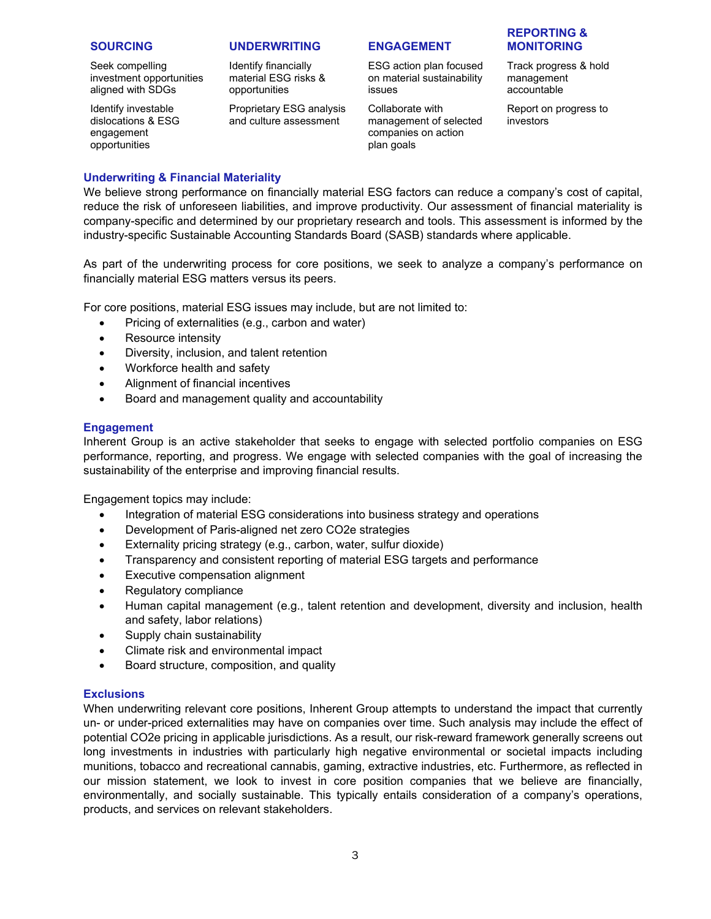Seek compelling investment opportunities aligned with SDGs

Identify investable dislocations & ESG engagement opportunities

#### **SOURCING UNDERWRITING ENGAGEMENT**

Identify financially material ESG risks & opportunities

Proprietary ESG analysis and culture assessment

ESG action plan focused on material sustainability issues

Collaborate with management of selected companies on action plan goals

#### **REPORTING & MONITORING**

Track progress & hold management accountable

Report on progress to investors

#### **Underwriting & Financial Materiality**

We believe strong performance on financially material ESG factors can reduce a company's cost of capital, reduce the risk of unforeseen liabilities, and improve productivity. Our assessment of financial materiality is company-specific and determined by our proprietary research and tools. This assessment is informed by the industry-specific Sustainable Accounting Standards Board (SASB) standards where applicable.

As part of the underwriting process for core positions, we seek to analyze a company's performance on financially material ESG matters versus its peers.

For core positions, material ESG issues may include, but are not limited to:

- Pricing of externalities (e.g., carbon and water)
- Resource intensity
- Diversity, inclusion, and talent retention
- Workforce health and safety
- Alignment of financial incentives
- Board and management quality and accountability

#### **Engagement**

Inherent Group is an active stakeholder that seeks to engage with selected portfolio companies on ESG performance, reporting, and progress. We engage with selected companies with the goal of increasing the sustainability of the enterprise and improving financial results.

Engagement topics may include:

- Integration of material ESG considerations into business strategy and operations
- Development of Paris-aligned net zero CO2e strategies
- Externality pricing strategy (e.g., carbon, water, sulfur dioxide)
- Transparency and consistent reporting of material ESG targets and performance
- Executive compensation alignment
- Regulatory compliance
- Human capital management (e.g., talent retention and development, diversity and inclusion, health and safety, labor relations)
- Supply chain sustainability
- Climate risk and environmental impact
- Board structure, composition, and quality

#### **Exclusions**

<span id="page-2-0"></span>When underwriting relevant core positions, Inherent Group attempts to understand the impact that currently un- or under-priced externalities may have on companies over time. Such analysis may include the effect of potential CO2e pricing in applicable jurisdictions. As a result, our risk-reward framework generally screens out long investments in industries with particularly high negative environmental or societal impacts including munitions, tobacco and recreational cannabis, gaming, extractive industries, etc. Furthermore, as reflected in our mission statement, we look to invest in core position companies that we believe are financially, environmentally, and socially sustainable. This typically entails consideration of a company's operations, products, and services on relevant stakeholders.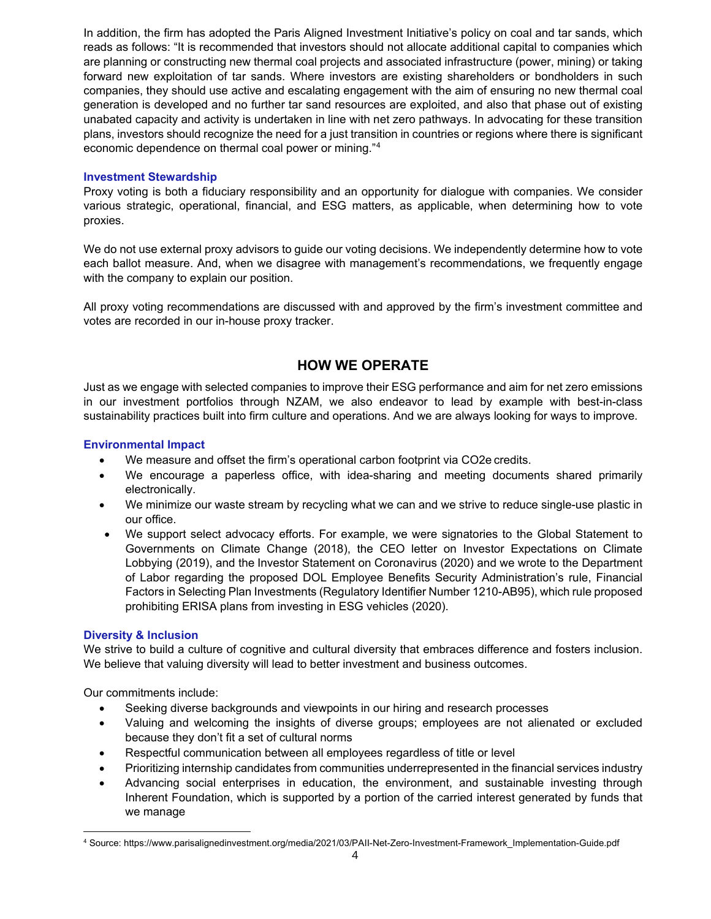In addition, the firm has adopted the Paris Aligned Investment Initiative's policy on coal and tar sands, which reads as follows: "It is recommended that investors should not allocate additional capital to companies which are planning or constructing new thermal coal projects and associated infrastructure (power, mining) or taking forward new exploitation of tar sands. Where investors are existing shareholders or bondholders in such companies, they should use active and escalating engagement with the aim of ensuring no new thermal coal generation is developed and no further tar sand resources are exploited, and also that phase out of existing unabated capacity and activity is undertaken in line with net zero pathways. In advocating for these transition plans, investors should recognize the need for a just transition in countries or regions where there is significant economic dependence on thermal coal power or mining."[4](#page-3-0)

#### **Investment Stewardship**

Proxy voting is both a fiduciary responsibility and an opportunity for dialogue with companies. We consider various strategic, operational, financial, and ESG matters, as applicable, when determining how to vote proxies.

We do not use external proxy advisors to guide our voting decisions. We independently determine how to vote each ballot measure. And, when we disagree with management's recommendations, we frequently engage with the company to explain our position.

All proxy voting recommendations are discussed with and approved by the firm's investment committee and votes are recorded in our in-house proxy tracker.

## **HOW WE OPERATE**

Just as we engage with selected companies to improve their ESG performance and aim for net zero emissions in our investment portfolios through NZAM, we also endeavor to lead by example with best-in-class sustainability practices built into firm culture and operations. And we are always looking for ways to improve.

#### **Environmental Impact**

- We measure and offset the firm's operational carbon footprint via CO2e credits.
- We encourage a paperless office, with idea-sharing and meeting documents shared primarily electronically.
- We minimize our waste stream by recycling what we can and we strive to reduce single-use plastic in our office.
- We support select advocacy efforts. For example, we were signatories to the Global Statement to Governments on Climate Change (2018), the CEO letter on Investor Expectations on Climate Lobbying (2019), and the Investor Statement on Coronavirus (2020) and we wrote to the Department of Labor regarding the proposed DOL Employee Benefits Security Administration's rule, Financial Factors in Selecting Plan Investments (Regulatory Identifier Number 1210-AB95), which rule proposed prohibiting ERISA plans from investing in ESG vehicles (2020).

#### **Diversity & Inclusion**

We strive to build a culture of cognitive and cultural diversity that embraces difference and fosters inclusion. We believe that valuing diversity will lead to better investment and business outcomes.

Our commitments include:

- Seeking diverse backgrounds and viewpoints in our hiring and research processes
- Valuing and welcoming the insights of diverse groups; employees are not alienated or excluded because they don't fit a set of cultural norms
- Respectful communication between all employees regardless of title or level
- Prioritizing internship candidates from communities underrepresented in the financial services industry
- Advancing social enterprises in education, the environment, and sustainable investing through Inherent Foundation, which is supported by a portion of the carried interest generated by funds that we manage

<span id="page-3-0"></span> $\overline{\phantom{a}}$ 4 Source: https://www.parisalignedinvestment.org/media/2021/03/PAII-Net-Zero-Investment-Framework\_Implementation-Guide.pdf